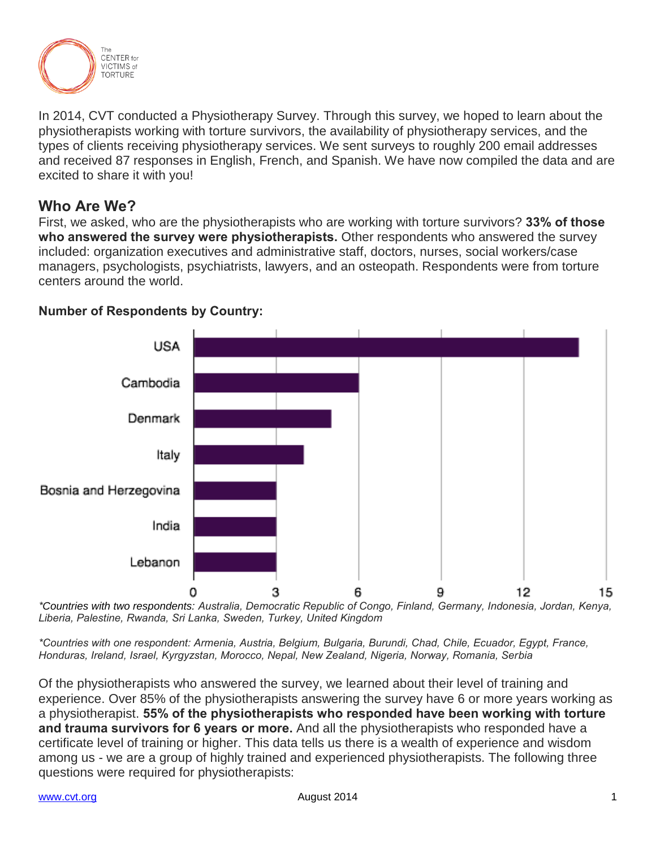

In 2014, CVT conducted a Physiotherapy Survey. Through this survey, we hoped to learn about the physiotherapists working with torture survivors, the availability of physiotherapy services, and the types of clients receiving physiotherapy services. We sent surveys to roughly 200 email addresses and received 87 responses in English, French, and Spanish. We have now compiled the data and are excited to share it with you!

## **Who Are We?**

First, we asked, who are the physiotherapists who are working with torture survivors? **33% of those who answered the survey were physiotherapists.** Other respondents who answered the survey included: organization executives and administrative staff, doctors, nurses, social workers/case managers, psychologists, psychiatrists, lawyers, and an osteopath. Respondents were from torture centers around the world.



## **Number of Respondents by Country:**

*\*Countries with two respondents: Australia, Democratic Republic of Congo, Finland, Germany, Indonesia, Jordan, Kenya, Liberia, Palestine, Rwanda, Sri Lanka, Sweden, Turkey, United Kingdom*

*\*Countries with one respondent: Armenia, Austria, Belgium, Bulgaria, Burundi, Chad, Chile, Ecuador, Egypt, France, Honduras, Ireland, Israel, Kyrgyzstan, Morocco, Nepal, New Zealand, Nigeria, Norway, Romania, Serbia*

Of the physiotherapists who answered the survey, we learned about their level of training and experience. Over 85% of the physiotherapists answering the survey have 6 or more years working as a physiotherapist. **55% of the physiotherapists who responded have been working with torture and trauma survivors for 6 years or more.** And all the physiotherapists who responded have a certificate level of training or higher. This data tells us there is a wealth of experience and wisdom among us - we are a group of highly trained and experienced physiotherapists. The following three questions were required for physiotherapists: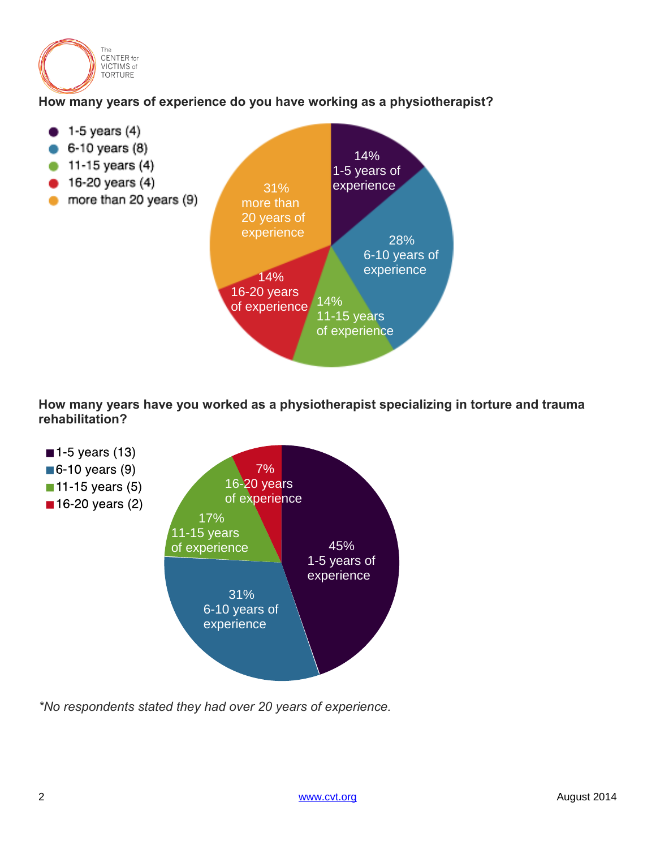

**How many years of experience do you have working as a physiotherapist?**



**How many years have you worked as a physiotherapist specializing in torture and trauma rehabilitation?**



*\*No respondents stated they had over 20 years of experience.*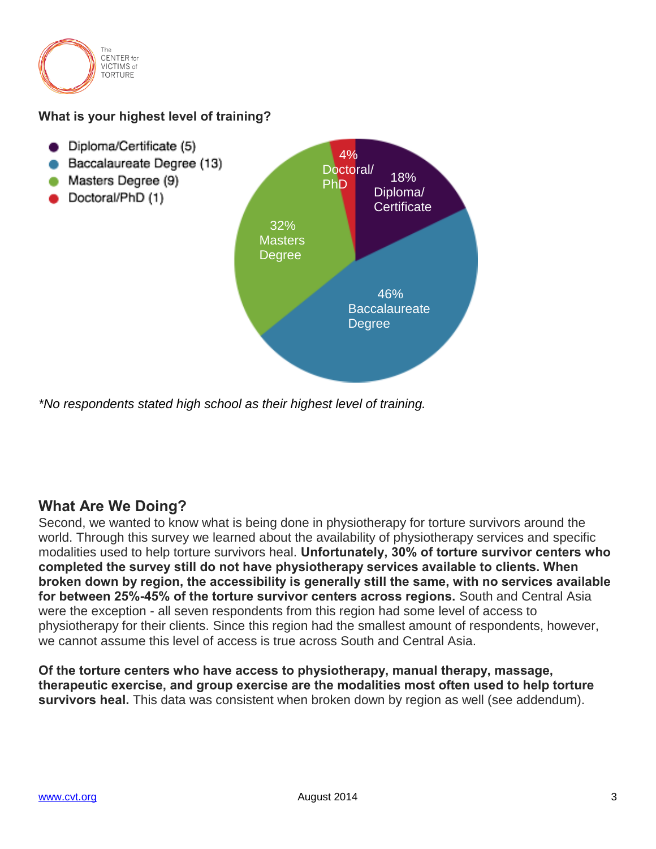

## **What is your highest level of training?**

- Diploma/Certificate (5)
- Baccalaureate Degree (13)
- Masters Degree (9)
- Doctoral/PhD (1)



*\*No respondents stated high school as their highest level of training.*

## **What Are We Doing?**

Second, we wanted to know what is being done in physiotherapy for torture survivors around the world. Through this survey we learned about the availability of physiotherapy services and specific modalities used to help torture survivors heal. **Unfortunately, 30% of torture survivor centers who completed the survey still do not have physiotherapy services available to clients. When broken down by region, the accessibility is generally still the same, with no services available for between 25%-45% of the torture survivor centers across regions.** South and Central Asia were the exception - all seven respondents from this region had some level of access to physiotherapy for their clients. Since this region had the smallest amount of respondents, however, we cannot assume this level of access is true across South and Central Asia.

**Of the torture centers who have access to physiotherapy, manual therapy, massage, therapeutic exercise, and group exercise are the modalities most often used to help torture survivors heal.** This data was consistent when broken down by region as well (see addendum).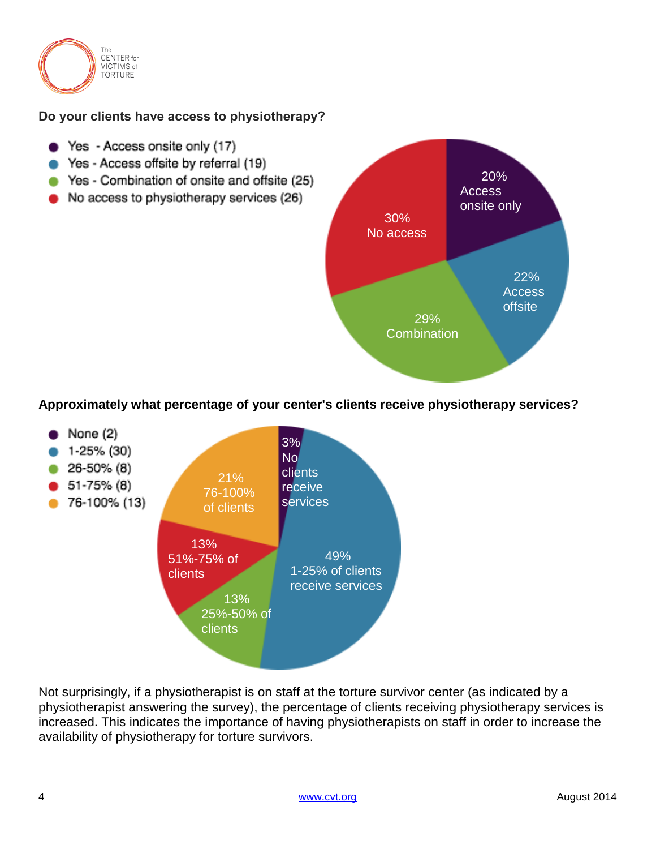

## **Do your clients have access to physiotherapy?**

- Yes Access onsite only (17)
- Yes Access offsite by referral (19)
- Yes Combination of onsite and offsite (25)
- No access to physiotherapy services (26)



**Approximately what percentage of your center's clients receive physiotherapy services?**



Not surprisingly, if a physiotherapist is on staff at the torture survivor center (as indicated by a physiotherapist answering the survey), the percentage of clients receiving physiotherapy services is increased. This indicates the importance of having physiotherapists on staff in order to increase the availability of physiotherapy for torture survivors.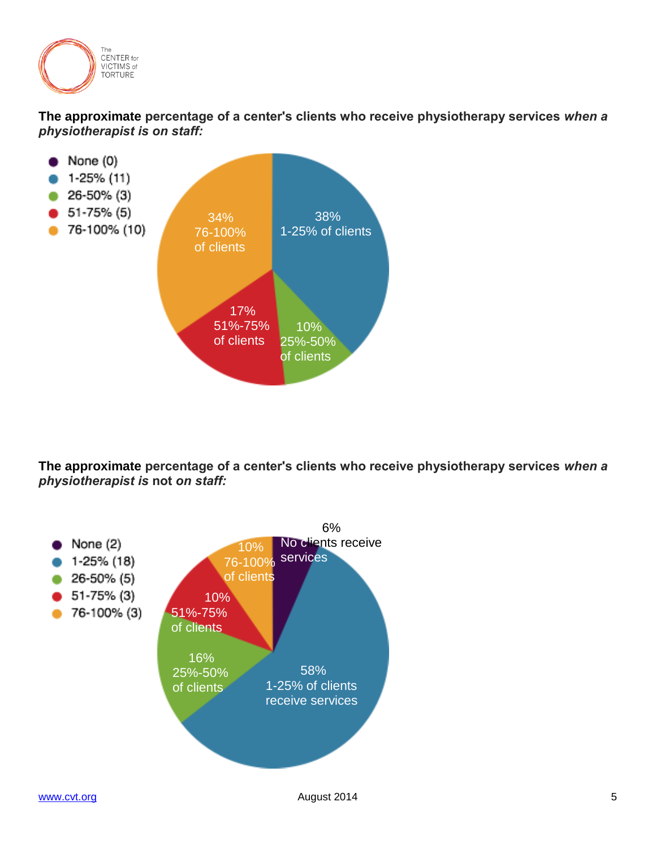

**The approximate percentage of a center's clients who receive physiotherapy services** *when a physiotherapist is on staff:*



**The approximate percentage of a center's clients who receive physiotherapy services** *when a physiotherapist is* **not** *on staff:*

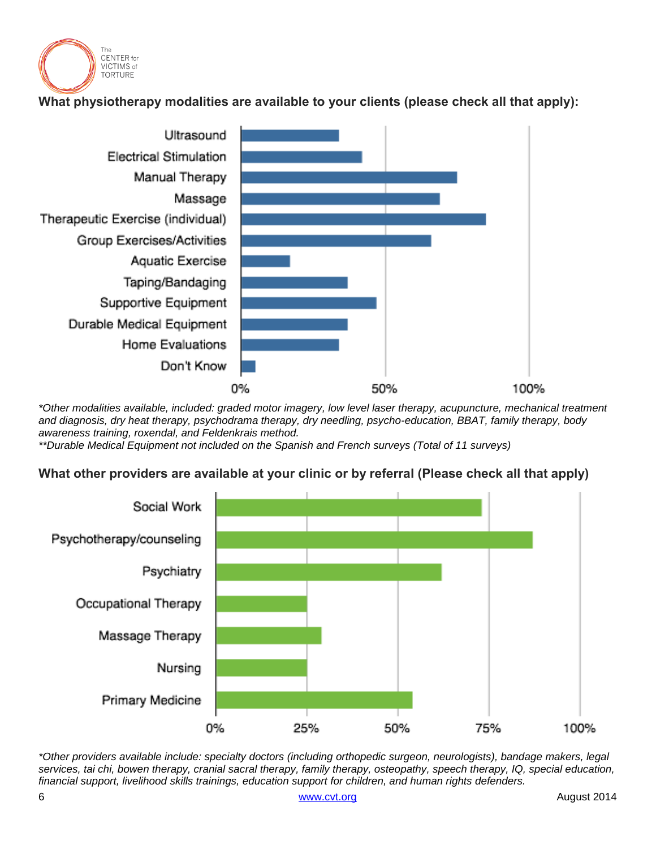

**What physiotherapy modalities are available to your clients (please check all that apply):**



*\*Other modalities available, included: graded motor imagery, low level laser therapy, acupuncture, mechanical treatment and diagnosis, dry heat therapy, psychodrama therapy, dry needling, psycho-education, BBAT, family therapy, body awareness training, roxendal, and Feldenkrais method.*

*\*\*Durable Medical Equipment not included on the Spanish and French surveys (Total of 11 surveys)*

#### **What other providers are available at your clinic or by referral (Please check all that apply)**



*\*Other providers available include: specialty doctors (including orthopedic surgeon, neurologists), bandage makers, legal services, tai chi, bowen therapy, cranial sacral therapy, family therapy, osteopathy, speech therapy, IQ, special education, financial support, livelihood skills trainings, education support for children, and human rights defenders.*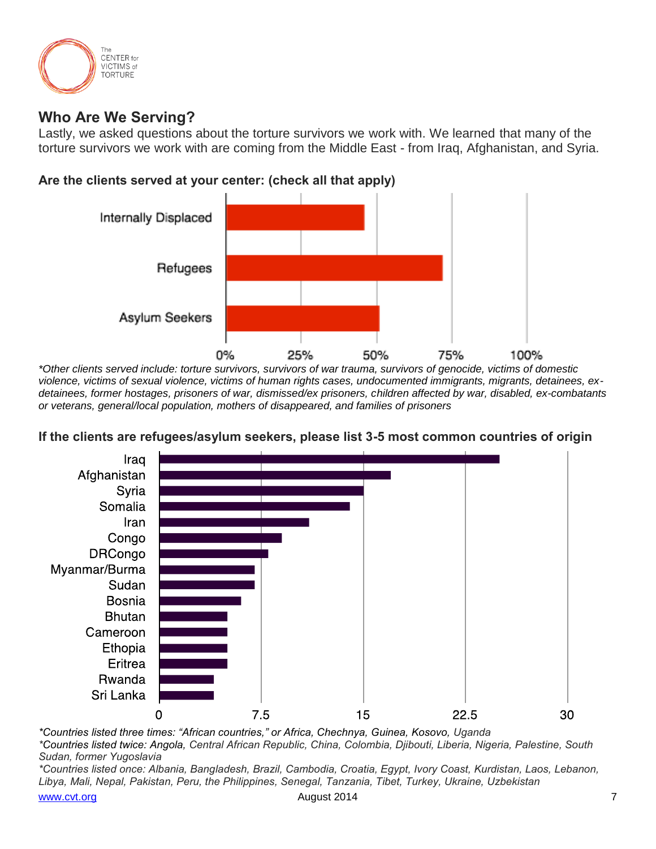

## **Who Are We Serving?**

Lastly, we asked questions about the torture survivors we work with. We learned that many of the torture survivors we work with are coming from the Middle East - from Iraq, Afghanistan, and Syria.

## **Are the clients served at your center: (check all that apply)**



*\*Other clients served include: torture survivors, survivors of war trauma, survivors of genocide, victims of domestic violence, victims of sexual violence, victims of human rights cases, undocumented immigrants, migrants, detainees, exdetainees, former hostages, prisoners of war, dismissed/ex prisoners, children affected by war, disabled, ex-combatants or veterans, general/local population, mothers of disappeared, and families of prisoners*

**If the clients are refugees/asylum seekers, please list 3-5 most common countries of origin**



*\*Countries listed three times: "African countries," or Africa, Chechnya, Guinea, Kosovo, Uganda \*Countries listed twice: Angola, Central African Republic, China, Colombia, Djibouti, Liberia, Nigeria, Palestine, South Sudan, former Yugoslavia \*Countries listed once: Albania, Bangladesh, Brazil, Cambodia, Croatia, Egypt, Ivory Coast, Kurdistan, Laos, Lebanon,* 

*Libya, Mali, Nepal, Pakistan, Peru, the Philippines, Senegal, Tanzania, Tibet, Turkey, Ukraine, Uzbekistan*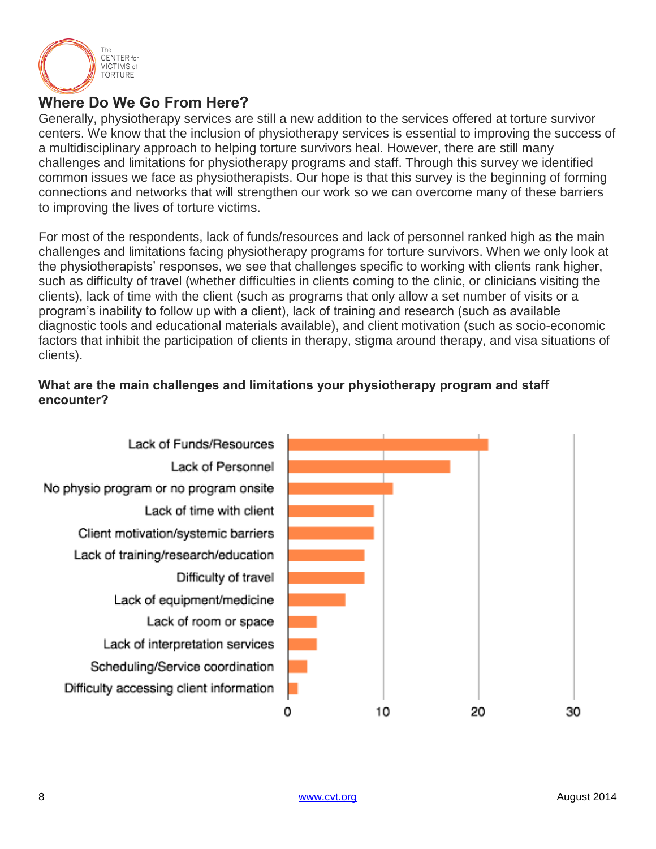

## **Where Do We Go From Here?**

Generally, physiotherapy services are still a new addition to the services offered at torture survivor centers. We know that the inclusion of physiotherapy services is essential to improving the success of a multidisciplinary approach to helping torture survivors heal. However, there are still many challenges and limitations for physiotherapy programs and staff. Through this survey we identified common issues we face as physiotherapists. Our hope is that this survey is the beginning of forming connections and networks that will strengthen our work so we can overcome many of these barriers to improving the lives of torture victims.

For most of the respondents, lack of funds/resources and lack of personnel ranked high as the main challenges and limitations facing physiotherapy programs for torture survivors. When we only look at the physiotherapists' responses, we see that challenges specific to working with clients rank higher, such as difficulty of travel (whether difficulties in clients coming to the clinic, or clinicians visiting the clients), lack of time with the client (such as programs that only allow a set number of visits or a program's inability to follow up with a client), lack of training and research (such as available diagnostic tools and educational materials available), and client motivation (such as socio-economic factors that inhibit the participation of clients in therapy, stigma around therapy, and visa situations of clients).

## **What are the main challenges and limitations your physiotherapy program and staff encounter?**

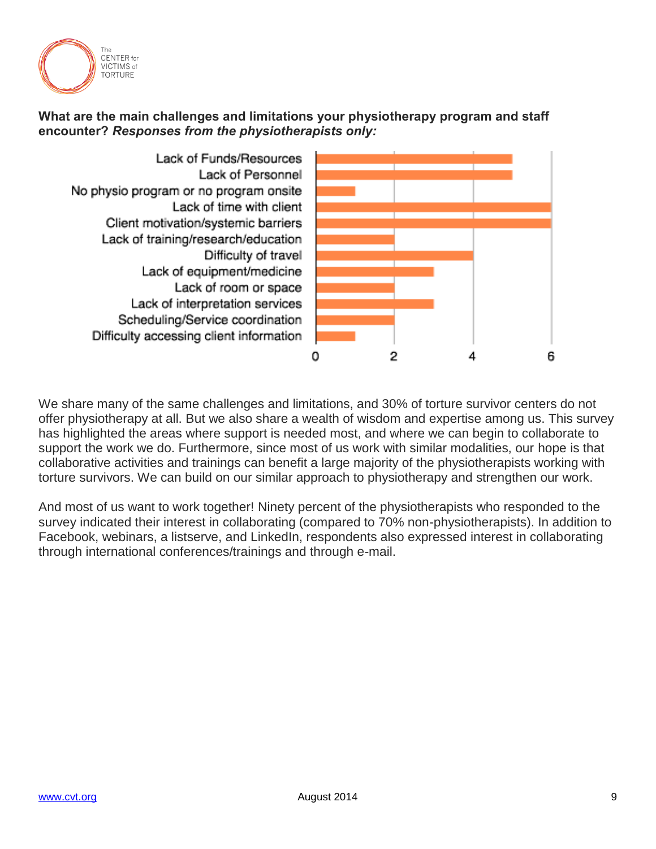

#### **What are the main challenges and limitations your physiotherapy program and staff encounter?** *Responses from the physiotherapists only:*



We share many of the same challenges and limitations, and 30% of torture survivor centers do not offer physiotherapy at all. But we also share a wealth of wisdom and expertise among us. This survey has highlighted the areas where support is needed most, and where we can begin to collaborate to support the work we do. Furthermore, since most of us work with similar modalities, our hope is that collaborative activities and trainings can benefit a large majority of the physiotherapists working with torture survivors. We can build on our similar approach to physiotherapy and strengthen our work.

And most of us want to work together! Ninety percent of the physiotherapists who responded to the survey indicated their interest in collaborating (compared to 70% non-physiotherapists). In addition to Facebook, webinars, a listserve, and LinkedIn, respondents also expressed interest in collaborating through international conferences/trainings and through e-mail.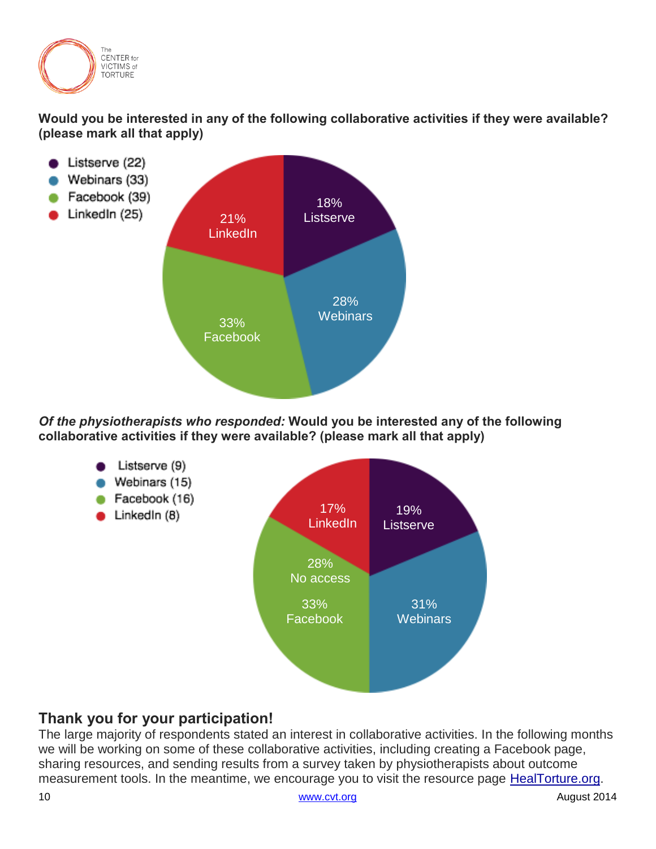

**Would you be interested in any of the following collaborative activities if they were available? (please mark all that apply)**



*Of the physiotherapists who responded:* **Would you be interested any of the following collaborative activities if they were available? (please mark all that apply)**



## **Thank you for your participation!**

The large majority of respondents stated an interest in collaborative activities. In the following months we will be working on some of these collaborative activities, including creating a Facebook page, sharing resources, and sending results from a survey taken by physiotherapists about outcome measurement tools. In the meantime, we encourage you to visit the resource page [HealTorture.org.](http://www.healtorture.org/)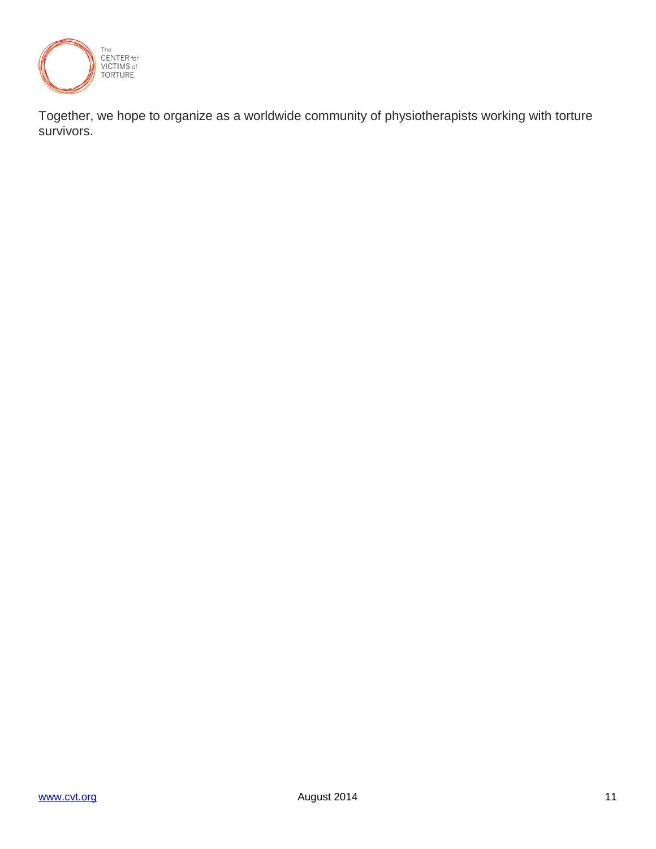

Together, we hope to organize as a worldwide community of physiotherapists working with torture survivors.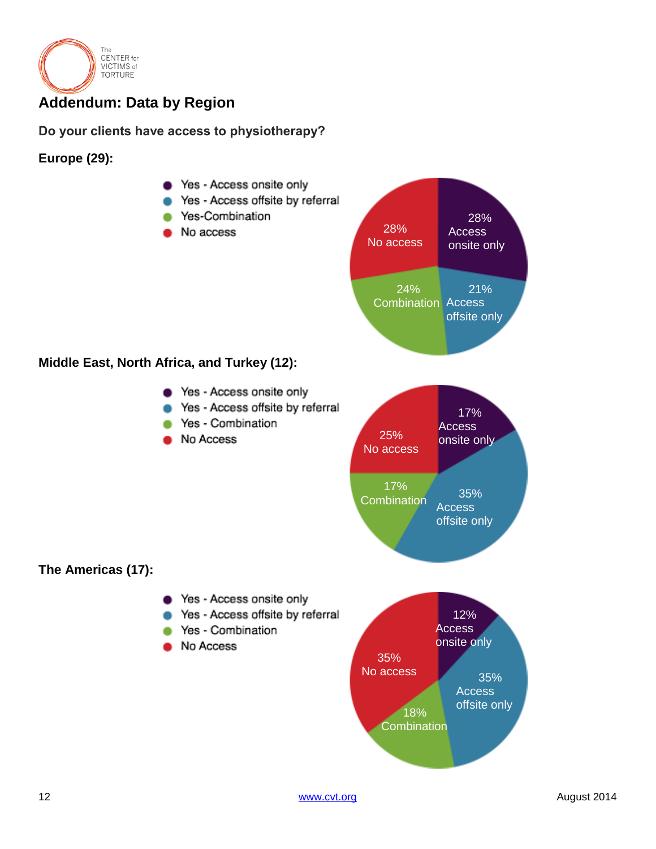

# **Do your clients have access to physiotherapy?**

## **Europe (29):**



12 [www.cvt.org](http://www.cvt.org/) and the state of the state of the state of the state of the state of the state of the state of t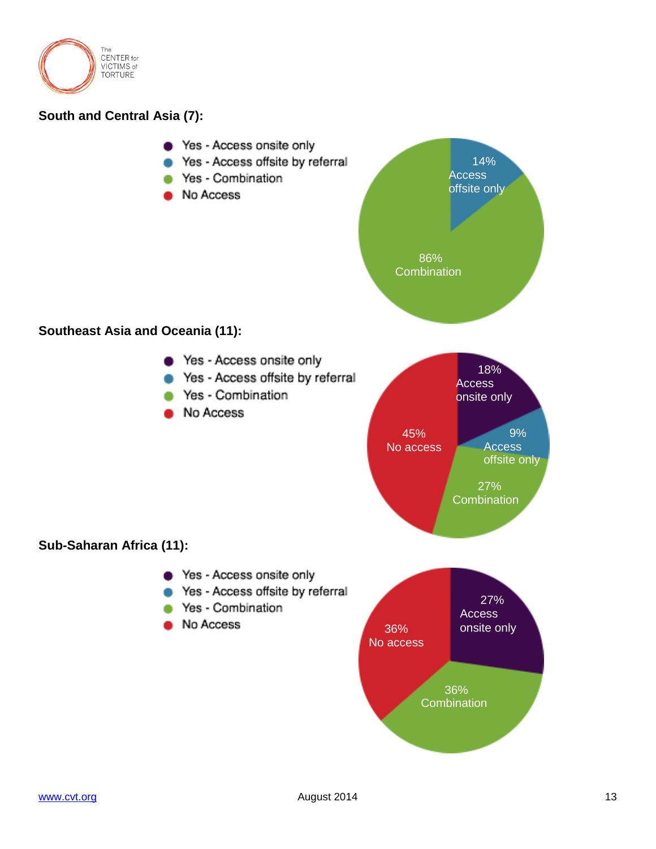

#### **South and Central Asia (7):**

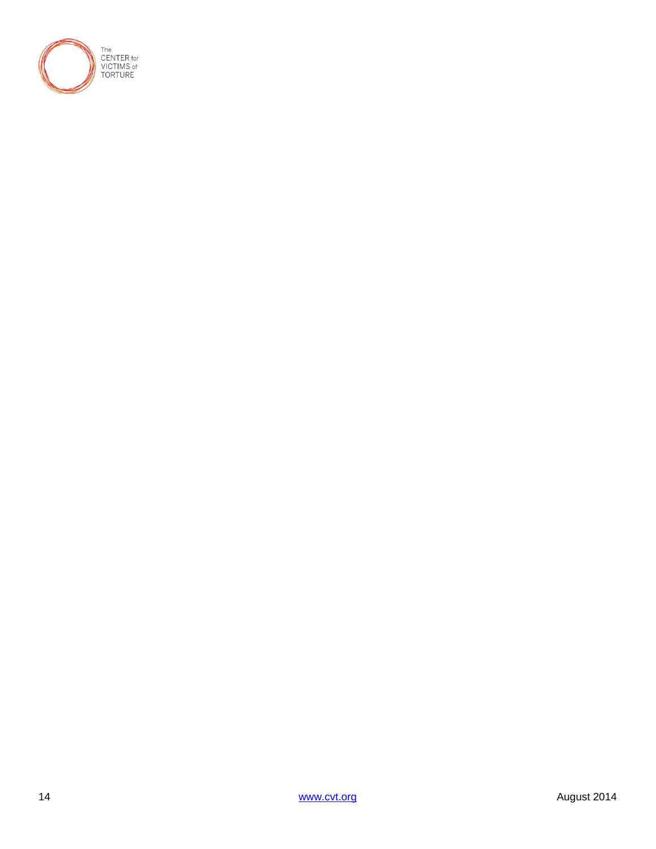